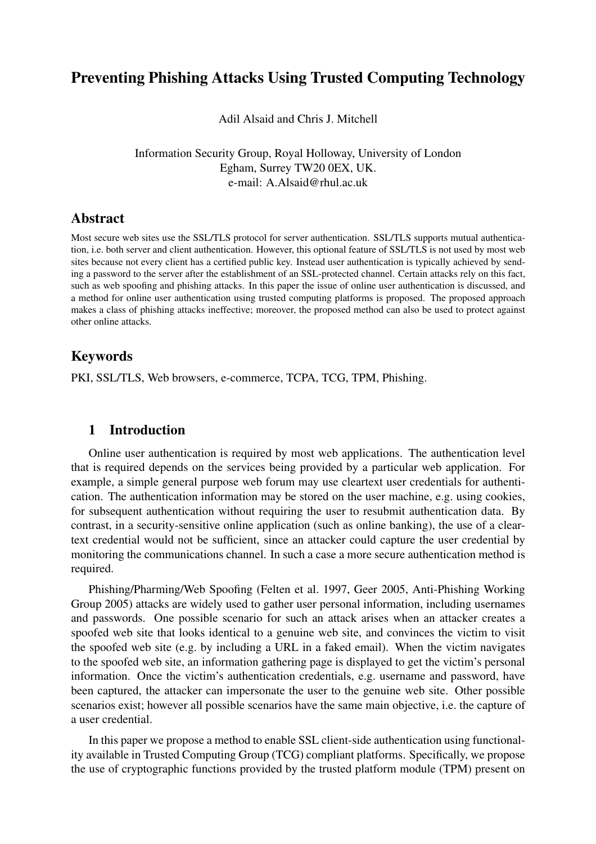# Preventing Phishing Attacks Using Trusted Computing Technology

Adil Alsaid and Chris J. Mitchell

Information Security Group, Royal Holloway, University of London Egham, Surrey TW20 0EX, UK. e-mail: A.Alsaid@rhul.ac.uk

## Abstract

Most secure web sites use the SSL/TLS protocol for server authentication. SSL/TLS supports mutual authentication, i.e. both server and client authentication. However, this optional feature of SSL/TLS is not used by most web sites because not every client has a certified public key. Instead user authentication is typically achieved by sending a password to the server after the establishment of an SSL-protected channel. Certain attacks rely on this fact, such as web spoofing and phishing attacks. In this paper the issue of online user authentication is discussed, and a method for online user authentication using trusted computing platforms is proposed. The proposed approach makes a class of phishing attacks ineffective; moreover, the proposed method can also be used to protect against other online attacks.

## Keywords

PKI, SSL/TLS, Web browsers, e-commerce, TCPA, TCG, TPM, Phishing.

#### 1 Introduction

Online user authentication is required by most web applications. The authentication level that is required depends on the services being provided by a particular web application. For example, a simple general purpose web forum may use cleartext user credentials for authentication. The authentication information may be stored on the user machine, e.g. using cookies, for subsequent authentication without requiring the user to resubmit authentication data. By contrast, in a security-sensitive online application (such as online banking), the use of a cleartext credential would not be sufficient, since an attacker could capture the user credential by monitoring the communications channel. In such a case a more secure authentication method is required.

Phishing/Pharming/Web Spoofing (Felten et al. 1997, Geer 2005, Anti-Phishing Working Group 2005) attacks are widely used to gather user personal information, including usernames and passwords. One possible scenario for such an attack arises when an attacker creates a spoofed web site that looks identical to a genuine web site, and convinces the victim to visit the spoofed web site (e.g. by including a URL in a faked email). When the victim navigates to the spoofed web site, an information gathering page is displayed to get the victim's personal information. Once the victim's authentication credentials, e.g. username and password, have been captured, the attacker can impersonate the user to the genuine web site. Other possible scenarios exist; however all possible scenarios have the same main objective, i.e. the capture of a user credential.

In this paper we propose a method to enable SSL client-side authentication using functionality available in Trusted Computing Group (TCG) compliant platforms. Specifically, we propose the use of cryptographic functions provided by the trusted platform module (TPM) present on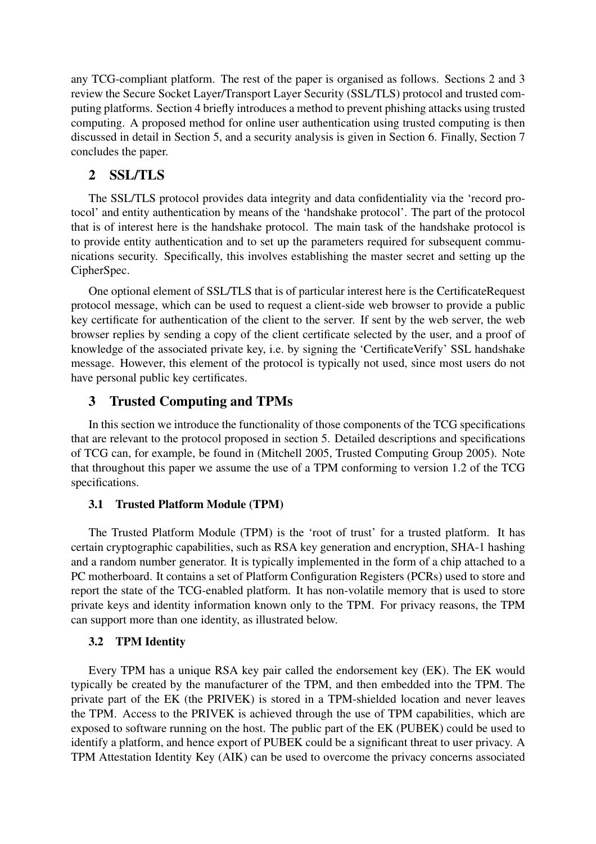any TCG-compliant platform. The rest of the paper is organised as follows. Sections 2 and 3 review the Secure Socket Layer/Transport Layer Security (SSL/TLS) protocol and trusted computing platforms. Section 4 briefly introduces a method to prevent phishing attacks using trusted computing. A proposed method for online user authentication using trusted computing is then discussed in detail in Section 5, and a security analysis is given in Section 6. Finally, Section 7 concludes the paper.

## 2 SSL/TLS

The SSL/TLS protocol provides data integrity and data confidentiality via the 'record protocol' and entity authentication by means of the 'handshake protocol'. The part of the protocol that is of interest here is the handshake protocol. The main task of the handshake protocol is to provide entity authentication and to set up the parameters required for subsequent communications security. Specifically, this involves establishing the master secret and setting up the CipherSpec.

One optional element of SSL/TLS that is of particular interest here is the CertificateRequest protocol message, which can be used to request a client-side web browser to provide a public key certificate for authentication of the client to the server. If sent by the web server, the web browser replies by sending a copy of the client certificate selected by the user, and a proof of knowledge of the associated private key, i.e. by signing the 'CertificateVerify' SSL handshake message. However, this element of the protocol is typically not used, since most users do not have personal public key certificates.

### 3 Trusted Computing and TPMs

In this section we introduce the functionality of those components of the TCG specifications that are relevant to the protocol proposed in section 5. Detailed descriptions and specifications of TCG can, for example, be found in (Mitchell 2005, Trusted Computing Group 2005). Note that throughout this paper we assume the use of a TPM conforming to version 1.2 of the TCG specifications.

#### 3.1 Trusted Platform Module (TPM)

The Trusted Platform Module (TPM) is the 'root of trust' for a trusted platform. It has certain cryptographic capabilities, such as RSA key generation and encryption, SHA-1 hashing and a random number generator. It is typically implemented in the form of a chip attached to a PC motherboard. It contains a set of Platform Configuration Registers (PCRs) used to store and report the state of the TCG-enabled platform. It has non-volatile memory that is used to store private keys and identity information known only to the TPM. For privacy reasons, the TPM can support more than one identity, as illustrated below.

#### 3.2 TPM Identity

Every TPM has a unique RSA key pair called the endorsement key (EK). The EK would typically be created by the manufacturer of the TPM, and then embedded into the TPM. The private part of the EK (the PRIVEK) is stored in a TPM-shielded location and never leaves the TPM. Access to the PRIVEK is achieved through the use of TPM capabilities, which are exposed to software running on the host. The public part of the EK (PUBEK) could be used to identify a platform, and hence export of PUBEK could be a significant threat to user privacy. A TPM Attestation Identity Key (AIK) can be used to overcome the privacy concerns associated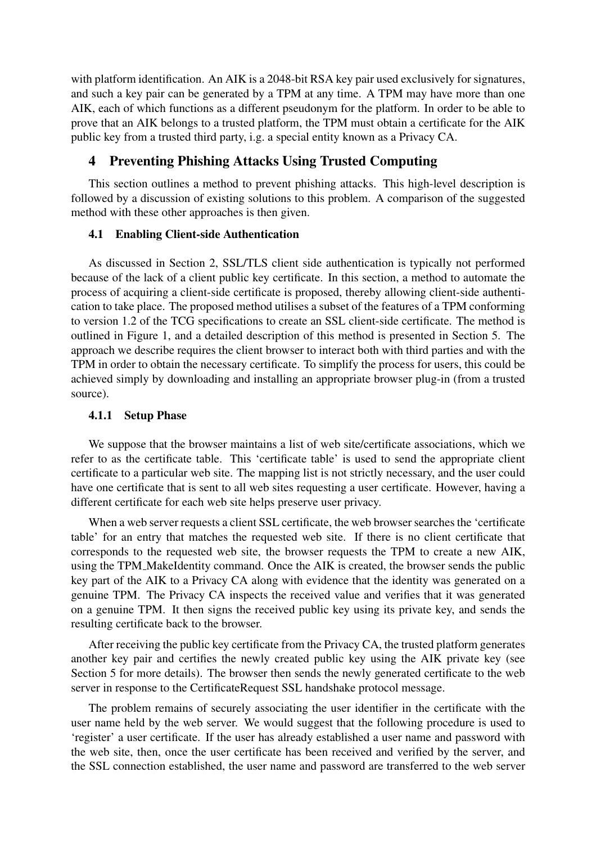with platform identification. An AIK is a 2048-bit RSA key pair used exclusively for signatures, and such a key pair can be generated by a TPM at any time. A TPM may have more than one AIK, each of which functions as a different pseudonym for the platform. In order to be able to prove that an AIK belongs to a trusted platform, the TPM must obtain a certificate for the AIK public key from a trusted third party, i.g. a special entity known as a Privacy CA.

## 4 Preventing Phishing Attacks Using Trusted Computing

This section outlines a method to prevent phishing attacks. This high-level description is followed by a discussion of existing solutions to this problem. A comparison of the suggested method with these other approaches is then given.

## 4.1 Enabling Client-side Authentication

As discussed in Section 2, SSL/TLS client side authentication is typically not performed because of the lack of a client public key certificate. In this section, a method to automate the process of acquiring a client-side certificate is proposed, thereby allowing client-side authentication to take place. The proposed method utilises a subset of the features of a TPM conforming to version 1.2 of the TCG specifications to create an SSL client-side certificate. The method is outlined in Figure 1, and a detailed description of this method is presented in Section 5. The approach we describe requires the client browser to interact both with third parties and with the TPM in order to obtain the necessary certificate. To simplify the process for users, this could be achieved simply by downloading and installing an appropriate browser plug-in (from a trusted source).

## 4.1.1 Setup Phase

We suppose that the browser maintains a list of web site/certificate associations, which we refer to as the certificate table. This 'certificate table' is used to send the appropriate client certificate to a particular web site. The mapping list is not strictly necessary, and the user could have one certificate that is sent to all web sites requesting a user certificate. However, having a different certificate for each web site helps preserve user privacy.

When a web server requests a client SSL certificate, the web browser searches the 'certificate table' for an entry that matches the requested web site. If there is no client certificate that corresponds to the requested web site, the browser requests the TPM to create a new AIK, using the TPM MakeIdentity command. Once the AIK is created, the browser sends the public key part of the AIK to a Privacy CA along with evidence that the identity was generated on a genuine TPM. The Privacy CA inspects the received value and verifies that it was generated on a genuine TPM. It then signs the received public key using its private key, and sends the resulting certificate back to the browser.

After receiving the public key certificate from the Privacy CA, the trusted platform generates another key pair and certifies the newly created public key using the AIK private key (see Section 5 for more details). The browser then sends the newly generated certificate to the web server in response to the CertificateRequest SSL handshake protocol message.

The problem remains of securely associating the user identifier in the certificate with the user name held by the web server. We would suggest that the following procedure is used to 'register' a user certificate. If the user has already established a user name and password with the web site, then, once the user certificate has been received and verified by the server, and the SSL connection established, the user name and password are transferred to the web server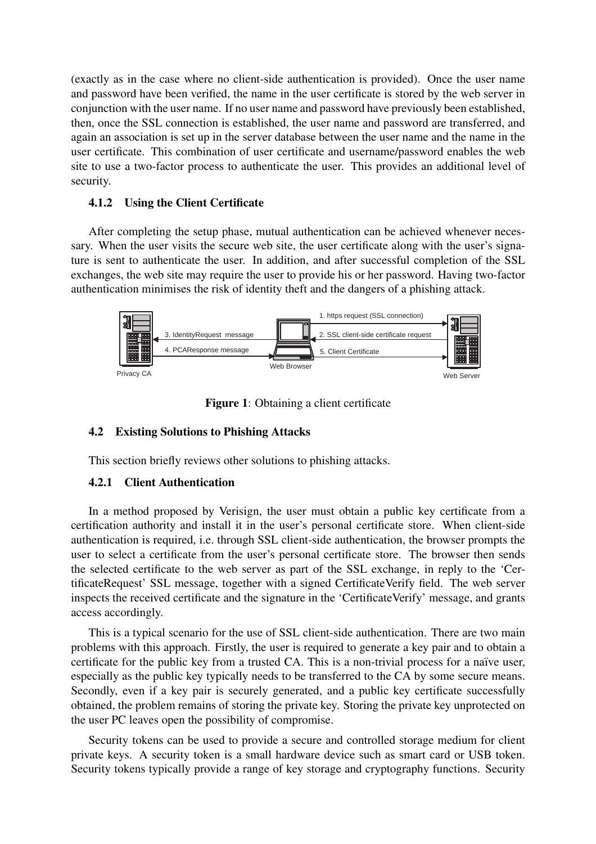(exactly as in the case where no client-side authentication is provided). Once the user name and password have been verified, the name in the user certificate is stored by the web server in conjunction with the user name. If no user name and password have previously been established, then, once the SSL connection is established, the user name and password are transferred, and again an association is set up in the server database between the user name and the name in the user certificate. This combination of user certificate and username/password enables the web site to use a two-factor process to authenticate the user. This provides an additional level of security.

#### 4.1.2 Using the Client Certificate

After completing the setup phase, mutual authentication can be achieved whenever necessary. When the user visits the secure web site, the user certificate along with the user's signature is sent to authenticate the user. In addition, and after successful completion of the SSL exchanges, the web site may require the user to provide his or her password. Having two-factor authentication minimises the risk of identity theft and the dangers of a phishing attack.



Figure 1: Obtaining a client certificate

#### 4.2 Existing Solutions to Phishing Attacks

This section briefly reviews other solutions to phishing attacks.

#### 4.2.1 Client Authentication

In a method proposed by Verisign, the user must obtain a public key certificate from a certification authority and install it in the user's personal certificate store. When client-side authentication is required, i.e. through SSL client-side authentication, the browser prompts the user to select a certificate from the user's personal certificate store. The browser then sends the selected certificate to the web server as part of the SSL exchange, in reply to the 'CertificateRequest' SSL message, together with a signed CertificateVerify field. The web server inspects the received certificate and the signature in the 'CertificateVerify' message, and grants access accordingly.

This is a typical scenario for the use of SSL client-side authentication. There are two main problems with this approach. Firstly, the user is required to generate a key pair and to obtain a certificate for the public key from a trusted CA. This is a non-trivial process for a naïve user, especially as the public key typically needs to be transferred to the CA by some secure means. Secondly, even if a key pair is securely generated, and a public key certificate successfully obtained, the problem remains of storing the private key. Storing the private key unprotected on the user PC leaves open the possibility of compromise.

Security tokens can be used to provide a secure and controlled storage medium for client private keys. A security token is a small hardware device such as smart card or USB token. Security tokens typically provide a range of key storage and cryptography functions. Security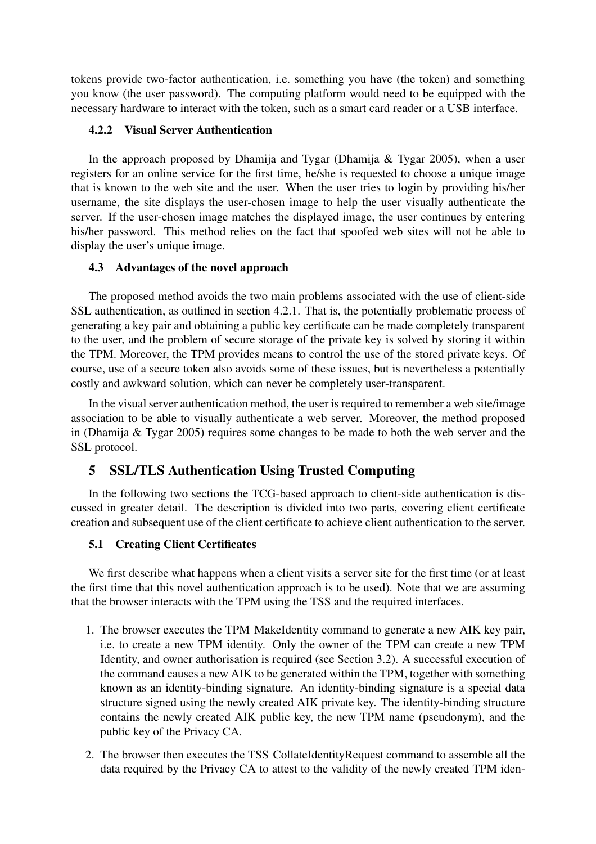tokens provide two-factor authentication, i.e. something you have (the token) and something you know (the user password). The computing platform would need to be equipped with the necessary hardware to interact with the token, such as a smart card reader or a USB interface.

### 4.2.2 Visual Server Authentication

In the approach proposed by Dhamija and Tygar (Dhamija  $\&$  Tygar 2005), when a user registers for an online service for the first time, he/she is requested to choose a unique image that is known to the web site and the user. When the user tries to login by providing his/her username, the site displays the user-chosen image to help the user visually authenticate the server. If the user-chosen image matches the displayed image, the user continues by entering his/her password. This method relies on the fact that spoofed web sites will not be able to display the user's unique image.

#### 4.3 Advantages of the novel approach

The proposed method avoids the two main problems associated with the use of client-side SSL authentication, as outlined in section 4.2.1. That is, the potentially problematic process of generating a key pair and obtaining a public key certificate can be made completely transparent to the user, and the problem of secure storage of the private key is solved by storing it within the TPM. Moreover, the TPM provides means to control the use of the stored private keys. Of course, use of a secure token also avoids some of these issues, but is nevertheless a potentially costly and awkward solution, which can never be completely user-transparent.

In the visual server authentication method, the user is required to remember a web site/image association to be able to visually authenticate a web server. Moreover, the method proposed in (Dhamija & Tygar 2005) requires some changes to be made to both the web server and the SSL protocol.

## 5 SSL/TLS Authentication Using Trusted Computing

In the following two sections the TCG-based approach to client-side authentication is discussed in greater detail. The description is divided into two parts, covering client certificate creation and subsequent use of the client certificate to achieve client authentication to the server.

#### 5.1 Creating Client Certificates

We first describe what happens when a client visits a server site for the first time (or at least the first time that this novel authentication approach is to be used). Note that we are assuming that the browser interacts with the TPM using the TSS and the required interfaces.

- 1. The browser executes the TPM MakeIdentity command to generate a new AIK key pair, i.e. to create a new TPM identity. Only the owner of the TPM can create a new TPM Identity, and owner authorisation is required (see Section 3.2). A successful execution of the command causes a new AIK to be generated within the TPM, together with something known as an identity-binding signature. An identity-binding signature is a special data structure signed using the newly created AIK private key. The identity-binding structure contains the newly created AIK public key, the new TPM name (pseudonym), and the public key of the Privacy CA.
- 2. The browser then executes the TSS CollateIdentityRequest command to assemble all the data required by the Privacy CA to attest to the validity of the newly created TPM iden-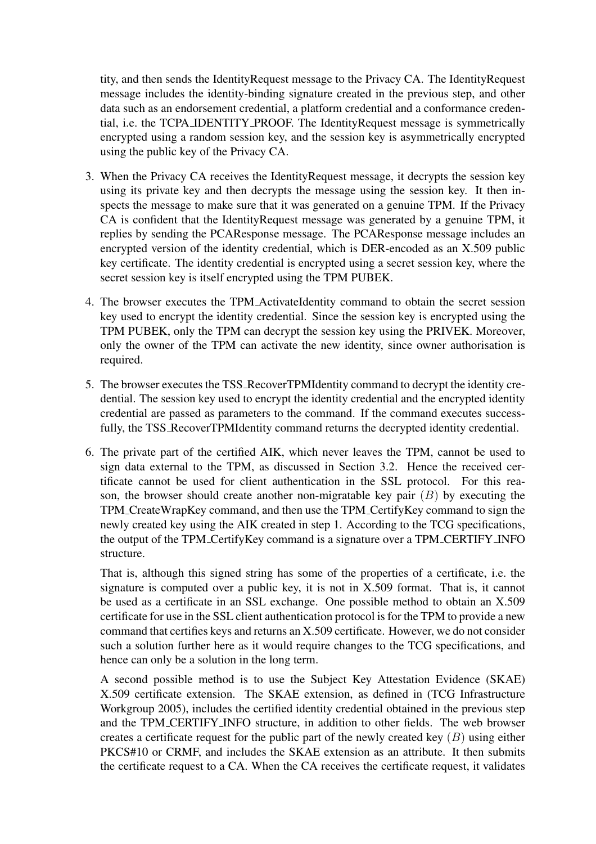tity, and then sends the IdentityRequest message to the Privacy CA. The IdentityRequest message includes the identity-binding signature created in the previous step, and other data such as an endorsement credential, a platform credential and a conformance credential, i.e. the TCPA IDENTITY PROOF. The IdentityRequest message is symmetrically encrypted using a random session key, and the session key is asymmetrically encrypted using the public key of the Privacy CA.

- 3. When the Privacy CA receives the IdentityRequest message, it decrypts the session key using its private key and then decrypts the message using the session key. It then inspects the message to make sure that it was generated on a genuine TPM. If the Privacy CA is confident that the IdentityRequest message was generated by a genuine TPM, it replies by sending the PCAResponse message. The PCAResponse message includes an encrypted version of the identity credential, which is DER-encoded as an X.509 public key certificate. The identity credential is encrypted using a secret session key, where the secret session key is itself encrypted using the TPM PUBEK.
- 4. The browser executes the TPM ActivateIdentity command to obtain the secret session key used to encrypt the identity credential. Since the session key is encrypted using the TPM PUBEK, only the TPM can decrypt the session key using the PRIVEK. Moreover, only the owner of the TPM can activate the new identity, since owner authorisation is required.
- 5. The browser executes the TSS RecoverTPMIdentity command to decrypt the identity credential. The session key used to encrypt the identity credential and the encrypted identity credential are passed as parameters to the command. If the command executes successfully, the TSS RecoverTPMIdentity command returns the decrypted identity credential.
- 6. The private part of the certified AIK, which never leaves the TPM, cannot be used to sign data external to the TPM, as discussed in Section 3.2. Hence the received certificate cannot be used for client authentication in the SSL protocol. For this reason, the browser should create another non-migratable key pair  $(B)$  by executing the TPM CreateWrapKey command, and then use the TPM CertifyKey command to sign the newly created key using the AIK created in step 1. According to the TCG specifications, the output of the TPM CertifyKey command is a signature over a TPM CERTIFY INFO structure.

That is, although this signed string has some of the properties of a certificate, i.e. the signature is computed over a public key, it is not in X.509 format. That is, it cannot be used as a certificate in an SSL exchange. One possible method to obtain an X.509 certificate for use in the SSL client authentication protocol is for the TPM to provide a new command that certifies keys and returns an X.509 certificate. However, we do not consider such a solution further here as it would require changes to the TCG specifications, and hence can only be a solution in the long term.

A second possible method is to use the Subject Key Attestation Evidence (SKAE) X.509 certificate extension. The SKAE extension, as defined in (TCG Infrastructure Workgroup 2005), includes the certified identity credential obtained in the previous step and the TPM CERTIFY INFO structure, in addition to other fields. The web browser creates a certificate request for the public part of the newly created key  $(B)$  using either PKCS#10 or CRMF, and includes the SKAE extension as an attribute. It then submits the certificate request to a CA. When the CA receives the certificate request, it validates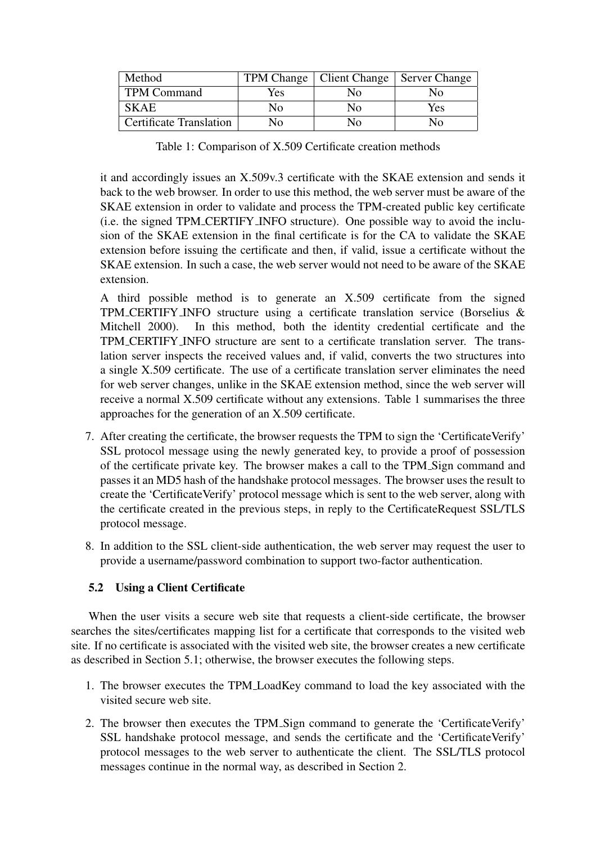| Method                         |      | TPM Change   Client Change   Server Change |     |
|--------------------------------|------|--------------------------------------------|-----|
| <b>TPM Command</b>             | Yes. | Nο                                         | N٥  |
| <b>SKAE</b>                    | Nο   | Nο                                         | Yes |
| <b>Certificate Translation</b> | N٥   | $N_{\Omega}$                               | Ν٥  |

Table 1: Comparison of X.509 Certificate creation methods

it and accordingly issues an X.509v.3 certificate with the SKAE extension and sends it back to the web browser. In order to use this method, the web server must be aware of the SKAE extension in order to validate and process the TPM-created public key certificate (i.e. the signed TPM CERTIFY INFO structure). One possible way to avoid the inclusion of the SKAE extension in the final certificate is for the CA to validate the SKAE extension before issuing the certificate and then, if valid, issue a certificate without the SKAE extension. In such a case, the web server would not need to be aware of the SKAE extension.

A third possible method is to generate an X.509 certificate from the signed TPM CERTIFY INFO structure using a certificate translation service (Borselius & Mitchell 2000). In this method, both the identity credential certificate and the TPM CERTIFY INFO structure are sent to a certificate translation server. The translation server inspects the received values and, if valid, converts the two structures into a single X.509 certificate. The use of a certificate translation server eliminates the need for web server changes, unlike in the SKAE extension method, since the web server will receive a normal X.509 certificate without any extensions. Table 1 summarises the three approaches for the generation of an X.509 certificate.

- 7. After creating the certificate, the browser requests the TPM to sign the 'CertificateVerify' SSL protocol message using the newly generated key, to provide a proof of possession of the certificate private key. The browser makes a call to the TPM Sign command and passes it an MD5 hash of the handshake protocol messages. The browser uses the result to create the 'CertificateVerify' protocol message which is sent to the web server, along with the certificate created in the previous steps, in reply to the CertificateRequest SSL/TLS protocol message.
- 8. In addition to the SSL client-side authentication, the web server may request the user to provide a username/password combination to support two-factor authentication.

## 5.2 Using a Client Certificate

When the user visits a secure web site that requests a client-side certificate, the browser searches the sites/certificates mapping list for a certificate that corresponds to the visited web site. If no certificate is associated with the visited web site, the browser creates a new certificate as described in Section 5.1; otherwise, the browser executes the following steps.

- 1. The browser executes the TPM LoadKey command to load the key associated with the visited secure web site.
- 2. The browser then executes the TPM Sign command to generate the 'CertificateVerify' SSL handshake protocol message, and sends the certificate and the 'CertificateVerify' protocol messages to the web server to authenticate the client. The SSL/TLS protocol messages continue in the normal way, as described in Section 2.